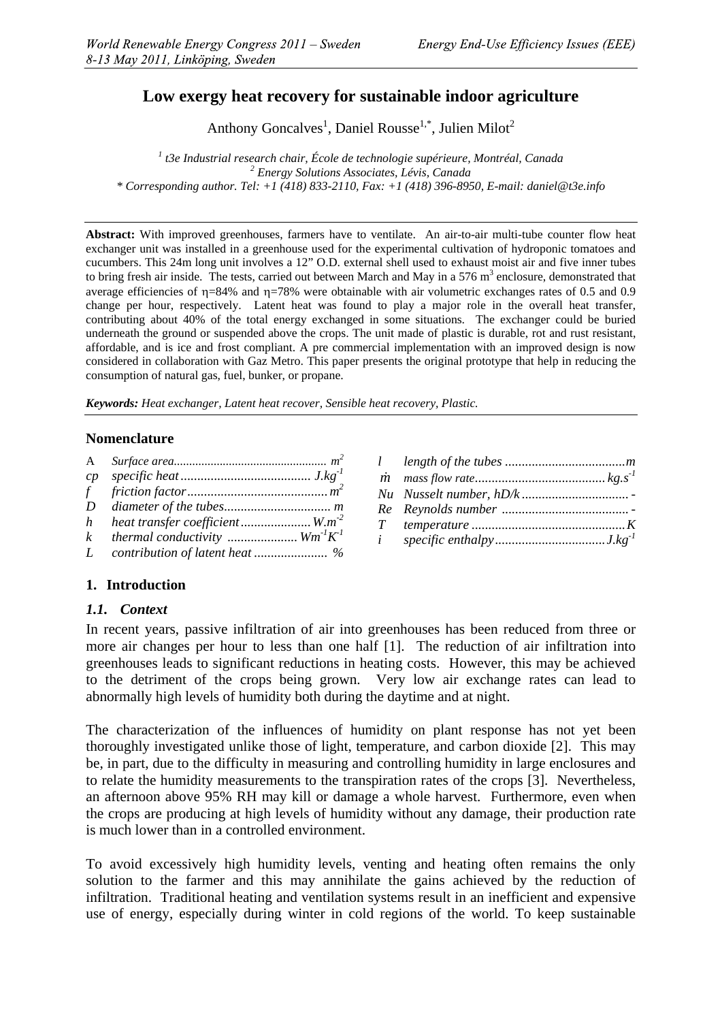# **Low exergy heat recovery for sustainable indoor agriculture**

Anthony Goncalves<sup>1</sup>, Daniel Rousse<sup>1,\*</sup>, Julien Milot<sup>2</sup>

<sup>1</sup> *t3e Industrial research chair, École de technologie supérieure, Montréal, Canada* <sup>2</sup><br><sup>2</sup> *Enarmy Solutions Associates Lévis Canada Energy Solutions Associates, Lévis, Canada \* Corresponding author. Tel: +1 (418) 833-2110, Fax: +1 (418) 396-8950, E-mail: daniel@t3e.info* 

**Abstract:** With improved greenhouses, farmers have to ventilate. An air-to-air multi-tube counter flow heat exchanger unit was installed in a greenhouse used for the experimental cultivation of hydroponic tomatoes and cucumbers. This 24m long unit involves a 12" O.D. external shell used to exhaust moist air and five inner tubes to bring fresh air inside. The tests, carried out between March and May in a 576  $m<sup>3</sup>$  enclosure, demonstrated that average efficiencies of  $\eta$ =84% and  $\eta$ =78% were obtainable with air volumetric exchanges rates of 0.5 and 0.9 change per hour, respectively. Latent heat was found to play a major role in the overall heat transfer, contributing about 40% of the total energy exchanged in some situations. The exchanger could be buried underneath the ground or suspended above the crops. The unit made of plastic is durable, rot and rust resistant, affordable, and is ice and frost compliant. A pre commercial implementation with an improved design is now considered in collaboration with Gaz Metro. This paper presents the original prototype that help in reducing the consumption of natural gas, fuel, bunker, or propane.

*Keywords: Heat exchanger, Latent heat recover, Sensible heat recovery, Plastic.* 

#### **Nomenclature**

| $\mathbf{A}$ |                                        |  |
|--------------|----------------------------------------|--|
|              |                                        |  |
| f            |                                        |  |
| D            |                                        |  |
|              | h heat transfer coefficient $W.m^{-2}$ |  |
| $\mathbf{k}$ | thermal conductivity $Wm^1K^1$         |  |
| L            |                                        |  |

## **1. Introduction**

#### *1.1. Context*

In recent years, passive infiltration of air into greenhouses has been reduced from three or more air changes per hour to less than one half [1]. The reduction of air infiltration into greenhouses leads to significant reductions in heating costs. However, this may be achieved to the detriment of the crops being grown. Very low air exchange rates can lead to abnormally high levels of humidity both during the daytime and at night.

The characterization of the influences of humidity on plant response has not yet been thoroughly investigated unlike those of light, temperature, and carbon dioxide [2]. This may be, in part, due to the difficulty in measuring and controlling humidity in large enclosures and to relate the humidity measurements to the transpiration rates of the crops [3]. Nevertheless, an afternoon above 95% RH may kill or damage a whole harvest. Furthermore, even when the crops are producing at high levels of humidity without any damage, their production rate is much lower than in a controlled environment.

To avoid excessively high humidity levels, venting and heating often remains the only solution to the farmer and this may annihilate the gains achieved by the reduction of infiltration. Traditional heating and ventilation systems result in an inefficient and expensive use of energy, especially during winter in cold regions of the world. To keep sustainable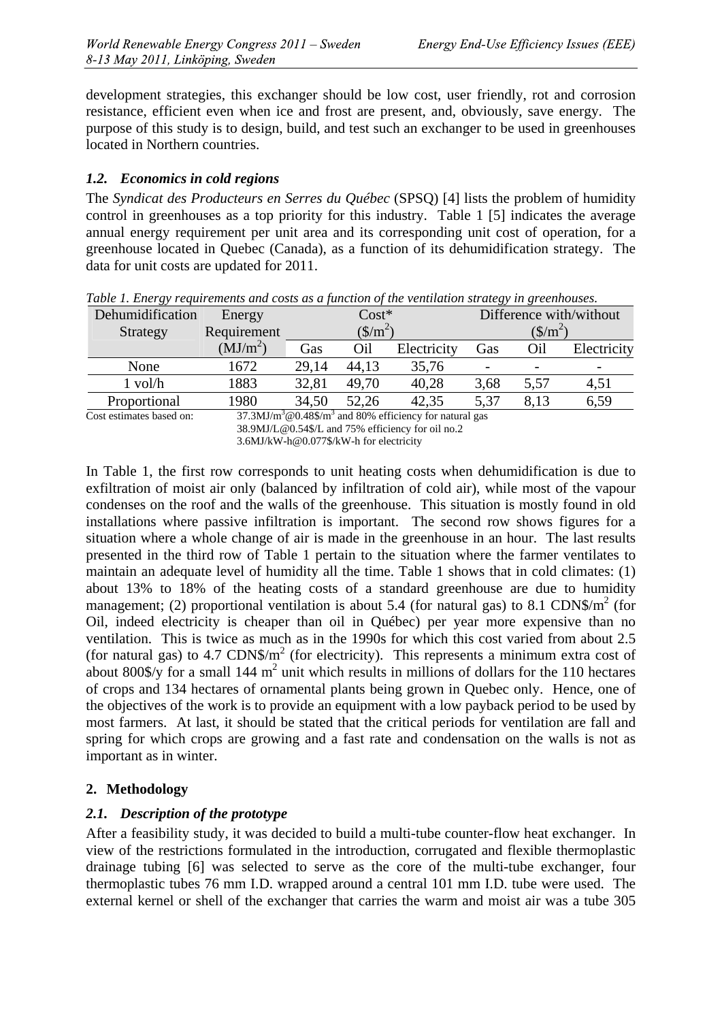development strategies, this exchanger should be low cost, user friendly, rot and corrosion resistance, efficient even when ice and frost are present, and, obviously, save energy. The purpose of this study is to design, build, and test such an exchanger to be used in greenhouses located in Northern countries.

## *1.2. Economics in cold regions*

The *Syndicat des Producteurs en Serres du Québec* (SPSQ) [4] lists the problem of humidity control in greenhouses as a top priority for this industry. Table 1 [5] indicates the average annual energy requirement per unit area and its corresponding unit cost of operation, for a greenhouse located in Quebec (Canada), as a function of its dehumidification strategy. The data for unit costs are updated for 2011.

| $\sqrt{2}$       |                      |                                 |       | $\cdots$<br>. |                                 |      |             |
|------------------|----------------------|---------------------------------|-------|---------------|---------------------------------|------|-------------|
| Dehumidification | Energy               | $\mathrm{Cost}^*$               |       |               | Difference with/without         |      |             |
| Strategy         | Requirement          | $(\frac{\text{S}}{\text{m}^2})$ |       |               | $(\frac{\text{S}}{\text{m}^2})$ |      |             |
|                  | (MJ/m <sup>2</sup> ) | Gas                             | Oil   | Electricity   | Gas                             | Эil  | Electricity |
| None             | 1672                 | 29,14                           | 44.13 | 35,76         | $\overline{\phantom{0}}$        |      |             |
| 1 vol/h          | 1883                 | 32,81                           | 49,70 | 40,28         | 3,68                            | 5,57 | 4.51        |
| Proportional     | 1980                 | 34,50                           | 52,26 | 42,35         | 5,37                            | 8.13 | 6,59        |
|                  | -------              | .                               | .     |               |                                 |      |             |

*Table 1. Energy requirements and costs as a function of the ventilation strategy in greenhouses.* 

Cost estimates based on:

In Table 1, the first row corresponds to unit heating costs when dehumidification is due to exfiltration of moist air only (balanced by infiltration of cold air), while most of the vapour condenses on the roof and the walls of the greenhouse. This situation is mostly found in old installations where passive infiltration is important. The second row shows figures for a situation where a whole change of air is made in the greenhouse in an hour. The last results presented in the third row of Table 1 pertain to the situation where the farmer ventilates to maintain an adequate level of humidity all the time. Table 1 shows that in cold climates: (1) about 13% to 18% of the heating costs of a standard greenhouse are due to humidity management; (2) proportional ventilation is about 5.4 (for natural gas) to 8.1 CDN\$/ $m^2$  (for Oil, indeed electricity is cheaper than oil in Québec) per year more expensive than no ventilation. This is twice as much as in the 1990s for which this cost varied from about 2.5 (for natural gas) to 4.7 CDN\$/ $m<sup>2</sup>$  (for electricity). This represents a minimum extra cost of about 800\$/y for a small 144  $m^2$  unit which results in millions of dollars for the 110 hectares of crops and 134 hectares of ornamental plants being grown in Quebec only. Hence, one of the objectives of the work is to provide an equipment with a low payback period to be used by most farmers. At last, it should be stated that the critical periods for ventilation are fall and spring for which crops are growing and a fast rate and condensation on the walls is not as important as in winter.

## **2. Methodology**

## *2.1. Description of the prototype*

After a feasibility study, it was decided to build a multi-tube counter-flow heat exchanger. In view of the restrictions formulated in the introduction, corrugated and flexible thermoplastic drainage tubing [6] was selected to serve as the core of the multi-tube exchanger, four thermoplastic tubes 76 mm I.D. wrapped around a central 101 mm I.D. tube were used. The external kernel or shell of the exchanger that carries the warm and moist air was a tube 305

<sup>@0.48\$/</sup>m3 and 80% efficiency for natural gas 38.9MJ/L@0.54\$/L and 75% efficiency for oil no.2 3.6MJ/kW-h@0.077\$/kW-h for electricity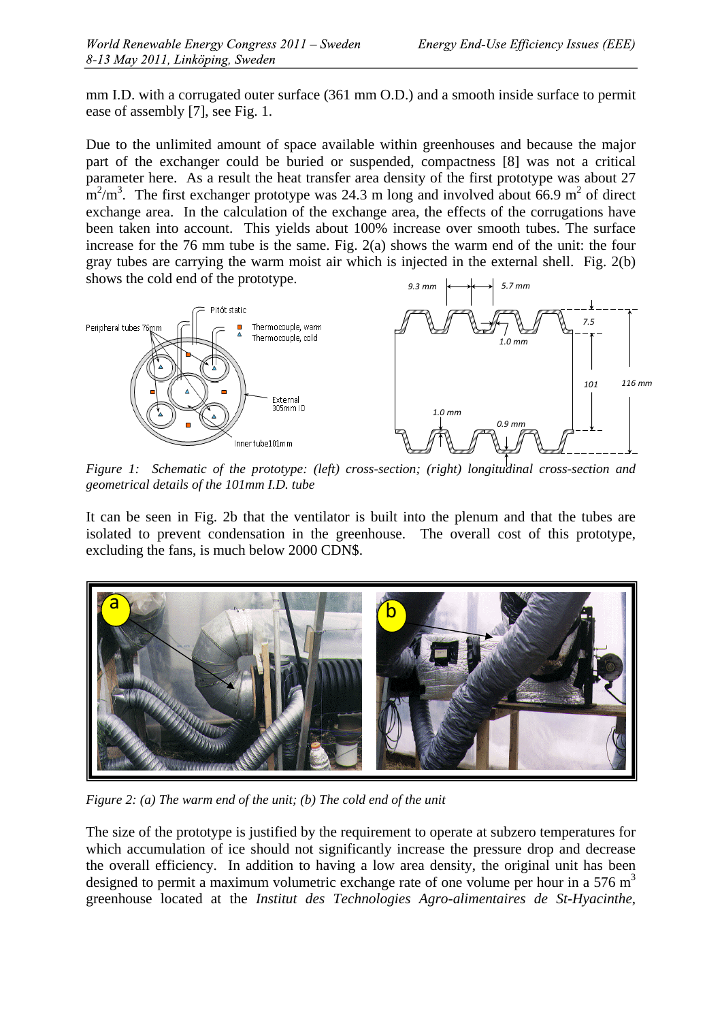mm I.D. with a corrugated outer surface (361 mm O.D.) and a smooth inside surface to permit ease of assembly [7], see Fig. 1.

Due to the unlimited amount of space available within greenhouses and because the major part of the exchanger could be buried or suspended, compactness [8] was not a critical parameter here. As a result the heat transfer area density of the first prototype was about 27  $\rm m^2/m^3$ . The first exchanger prototype was 24.3 m long and involved about 66.9 m<sup>2</sup> of direct exchange area. In the calculation of the exchange area, the effects of the corrugations have been taken into account. This yields about 100% increase over smooth tubes. The surface increase for the 76 mm tube is the same. Fig. 2(a) shows the warm end of the unit: the four gray tubes are carrying the warm moist air which is injected in the external shell. Fig. 2(b) shows the cold end of the prototype.



*Figure 1: Schematic of the prototype: (left) cross-section; (right) longitudinal cross-section and geometrical details of the 101mm I.D. tube* 

It can be seen in Fig. 2b that the ventilator is built into the plenum and that the tubes are isolated to prevent condensation in the greenhouse. The overall cost of this prototype, excluding the fans, is much below 2000 CDN\$.



*Figure 2: (a) The warm end of the unit; (b) The cold end of the unit* 

The size of the prototype is justified by the requirement to operate at subzero temperatures for which accumulation of ice should not significantly increase the pressure drop and decrease the overall efficiency. In addition to having a low area density, the original unit has been designed to permit a maximum volumetric exchange rate of one volume per hour in a 576  $m<sup>3</sup>$ greenhouse located at the *Institut des Technologies Agro-alimentaires de St-Hyacinthe*,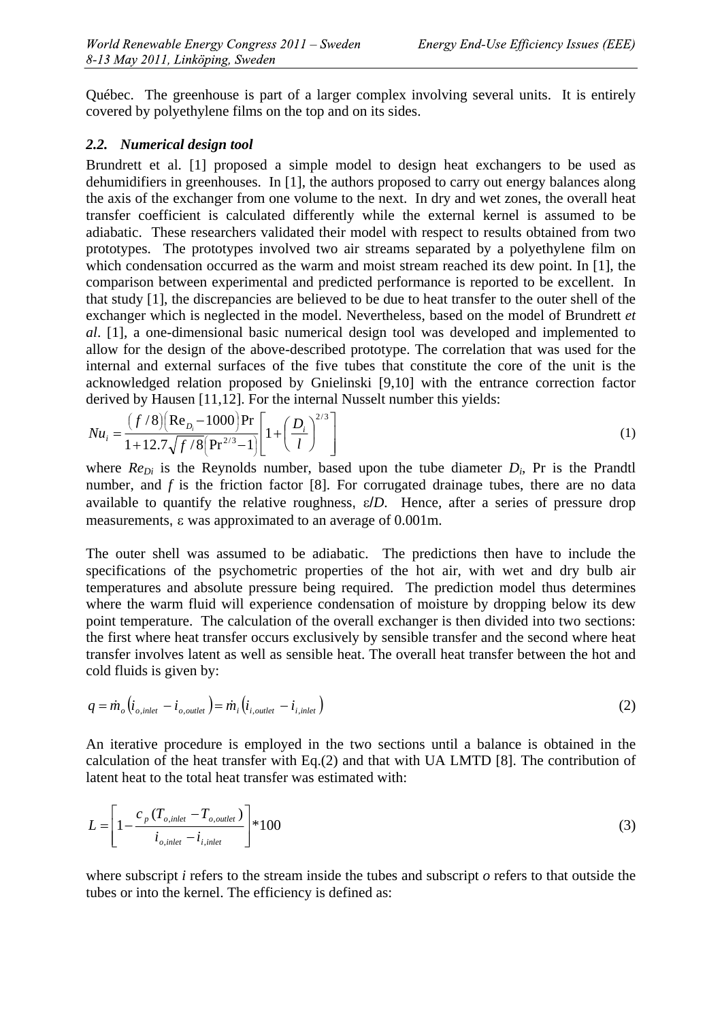Québec. The greenhouse is part of a larger complex involving several units. It is entirely covered by polyethylene films on the top and on its sides.

### *2.2. Numerical design tool*

Brundrett et al. [1] proposed a simple model to design heat exchangers to be used as dehumidifiers in greenhouses. In [1], the authors proposed to carry out energy balances along the axis of the exchanger from one volume to the next. In dry and wet zones, the overall heat transfer coefficient is calculated differently while the external kernel is assumed to be adiabatic. These researchers validated their model with respect to results obtained from two prototypes. The prototypes involved two air streams separated by a polyethylene film on which condensation occurred as the warm and moist stream reached its dew point. In [1], the comparison between experimental and predicted performance is reported to be excellent. In that study [1], the discrepancies are believed to be due to heat transfer to the outer shell of the exchanger which is neglected in the model. Nevertheless, based on the model of Brundrett *et al*. [1], a one-dimensional basic numerical design tool was developed and implemented to allow for the design of the above-described prototype. The correlation that was used for the internal and external surfaces of the five tubes that constitute the core of the unit is the acknowledged relation proposed by Gnielinski [9,10] with the entrance correction factor derived by Hausen [11,12]. For the internal Nusselt number this yields:

$$
Nu_{i} = \frac{(f/8)(\text{Re}_{D_{i}} - 1000)\text{Pr}}{1 + 12.7\sqrt{f/8}(\text{Pr}^{2/3} - 1)} \left[1 + \left(\frac{D_{i}}{l}\right)^{2/3}\right]
$$
(1)

where  $Re_{Di}$  is the Reynolds number, based upon the tube diameter  $D_i$ , Pr is the Prandtl number, and *f* is the friction factor [8]. For corrugated drainage tubes, there are no data available to quantify the relative roughness,  $\varepsilon/D$ . Hence, after a series of pressure drop measurements,  $\varepsilon$  was approximated to an average of 0.001m.

The outer shell was assumed to be adiabatic. The predictions then have to include the specifications of the psychometric properties of the hot air, with wet and dry bulb air temperatures and absolute pressure being required. The prediction model thus determines where the warm fluid will experience condensation of moisture by dropping below its dew point temperature. The calculation of the overall exchanger is then divided into two sections: the first where heat transfer occurs exclusively by sensible transfer and the second where heat transfer involves latent as well as sensible heat. The overall heat transfer between the hot and cold fluids is given by:

$$
q = \dot{m}_o \left( i_{o, \text{inlet}} - i_{o, \text{outlet}} \right) = \dot{m}_i \left( i_{i, \text{outlet}} - i_{i, \text{inlet}} \right)
$$
\n
$$
\tag{2}
$$

An iterative procedure is employed in the two sections until a balance is obtained in the calculation of the heat transfer with Eq.(2) and that with UA LMTD [8]. The contribution of latent heat to the total heat transfer was estimated with:

$$
L = \left[1 - \frac{c_p \left(T_{o,\text{inlet}} - T_{o,\text{outlet}}\right)}{i_{o,\text{inlet}} - i_{i,\text{inlet}}}\right]^* 100
$$
\n
$$
\tag{3}
$$

where subscript *i* refers to the stream inside the tubes and subscript *o* refers to that outside the tubes or into the kernel. The efficiency is defined as: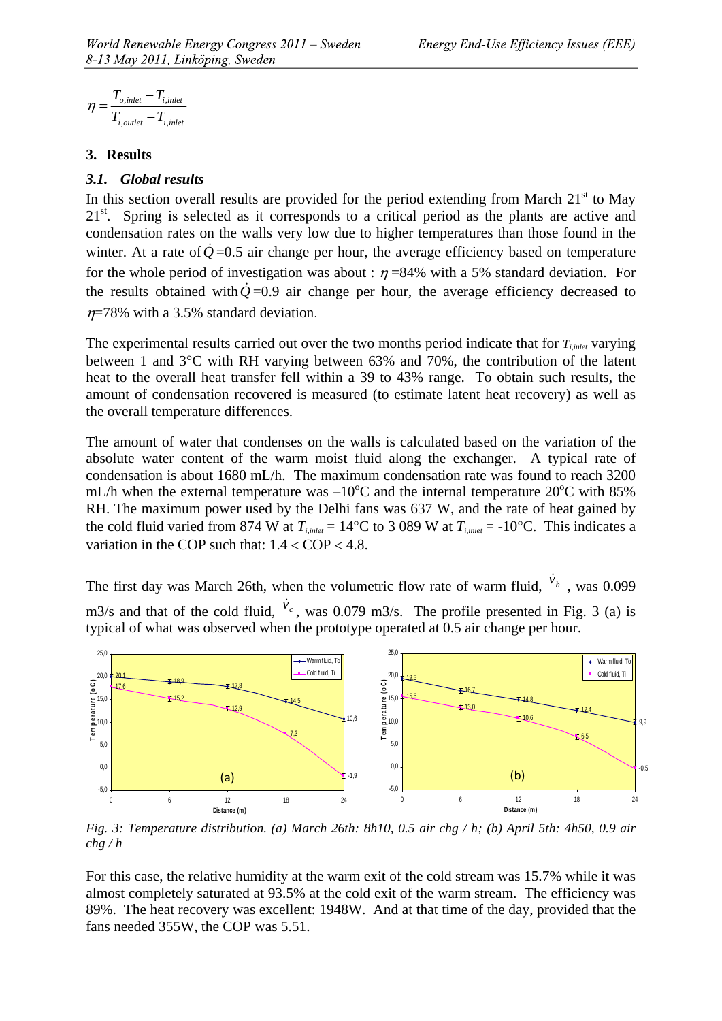$$
\eta = \frac{T_{o, inlet} - T_{i, inlet}}{T_{i,outlet} - T_{i, inlet}}
$$

#### **3. Results**

#### *3.1. Global results*

In this section overall results are provided for the period extending from March  $21<sup>st</sup>$  to May 21<sup>st</sup>. Spring is selected as it corresponds to a critical period as the plants are active and condensation rates on the walls very low due to higher temperatures than those found in the winter. At a rate of  $Q=0.5$  air change per hour, the average efficiency based on temperature for the whole period of investigation was about :  $\eta$  =84% with a 5% standard deviation. For the results obtained with  $\dot{Q}$ =0.9 air change per hour, the average efficiency decreased to  $n=78\%$  with a 3.5% standard deviation.

The experimental results carried out over the two months period indicate that for  $T_{i,inel}$  varying between 1 and  $3^{\circ}$ C with RH varying between 63% and 70%, the contribution of the latent heat to the overall heat transfer fell within a 39 to 43% range. To obtain such results, the amount of condensation recovered is measured (to estimate latent heat recovery) as well as the overall temperature differences.

The amount of water that condenses on the walls is calculated based on the variation of the absolute water content of the warm moist fluid along the exchanger. A typical rate of condensation is about 1680 mL/h. The maximum condensation rate was found to reach 3200 mL/h when the external temperature was  $-10^{\circ}$ C and the internal temperature 20 $^{\circ}$ C with 85% RH. The maximum power used by the Delhi fans was 637 W, and the rate of heat gained by the cold fluid varied from 874 W at  $T_{i,inter} = 14^{\circ}\text{C}$  to 3 089 W at  $T_{i,inter} = -10^{\circ}\text{C}$ . This indicates a variation in the COP such that:  $1.4 <$  COP  $<$  4.8.

The first day was March 26th, when the volumetric flow rate of warm fluid,  $\dot{v}_h$ , was 0.099 m3/s and that of the cold fluid,  $\dot{v}$ , was 0.079 m3/s. The profile presented in Fig. 3 (a) is typical of what was observed when the prototype operated at 0.5 air change per hour.



*Fig. 3: Temperature distribution. (a) March 26th: 8h10, 0.5 air chg / h; (b) April 5th: 4h50, 0.9 air chg / h* 

For this case, the relative humidity at the warm exit of the cold stream was 15.7% while it was almost completely saturated at 93.5% at the cold exit of the warm stream. The efficiency was 89%. The heat recovery was excellent: 1948W. And at that time of the day, provided that the fans needed 355W, the COP was 5.51.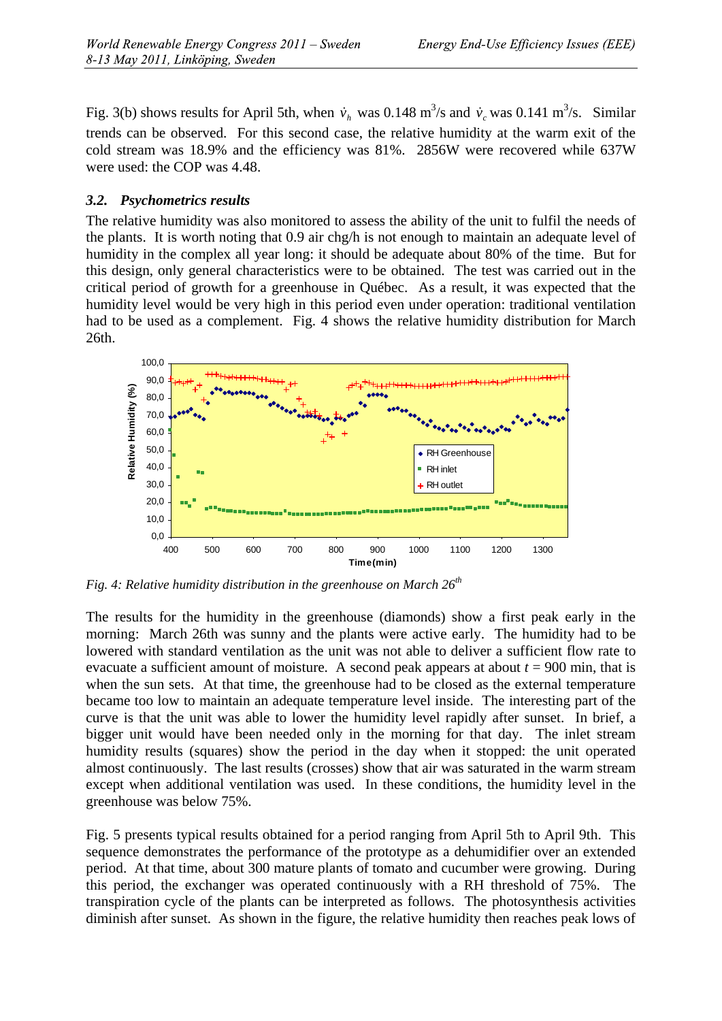Fig. 3(b) shows results for April 5th, when  $\dot{v}_h$  was 0.148 m<sup>3</sup>/s and  $\dot{v}_c$  was 0.141 m<sup>3</sup>/s. Similar trends can be observed. For this second case, the relative humidity at the warm exit of the cold stream was 18.9% and the efficiency was 81%. 2856W were recovered while 637W were used: the COP was 4.48.

### *3.2. Psychometrics results*

The relative humidity was also monitored to assess the ability of the unit to fulfil the needs of the plants. It is worth noting that 0.9 air chg/h is not enough to maintain an adequate level of humidity in the complex all year long: it should be adequate about 80% of the time. But for this design, only general characteristics were to be obtained. The test was carried out in the critical period of growth for a greenhouse in Québec. As a result, it was expected that the humidity level would be very high in this period even under operation: traditional ventilation had to be used as a complement. Fig. 4 shows the relative humidity distribution for March 26th.



*Fig. 4: Relative humidity distribution in the greenhouse on March*  $26<sup>th</sup>$ 

The results for the humidity in the greenhouse (diamonds) show a first peak early in the morning: March 26th was sunny and the plants were active early. The humidity had to be lowered with standard ventilation as the unit was not able to deliver a sufficient flow rate to evacuate a sufficient amount of moisture. A second peak appears at about  $t = 900$  min, that is when the sun sets. At that time, the greenhouse had to be closed as the external temperature became too low to maintain an adequate temperature level inside. The interesting part of the curve is that the unit was able to lower the humidity level rapidly after sunset. In brief, a bigger unit would have been needed only in the morning for that day. The inlet stream humidity results (squares) show the period in the day when it stopped: the unit operated almost continuously. The last results (crosses) show that air was saturated in the warm stream except when additional ventilation was used. In these conditions, the humidity level in the greenhouse was below 75%.

Fig. 5 presents typical results obtained for a period ranging from April 5th to April 9th. This sequence demonstrates the performance of the prototype as a dehumidifier over an extended period. At that time, about 300 mature plants of tomato and cucumber were growing. During this period, the exchanger was operated continuously with a RH threshold of 75%. The transpiration cycle of the plants can be interpreted as follows. The photosynthesis activities diminish after sunset. As shown in the figure, the relative humidity then reaches peak lows of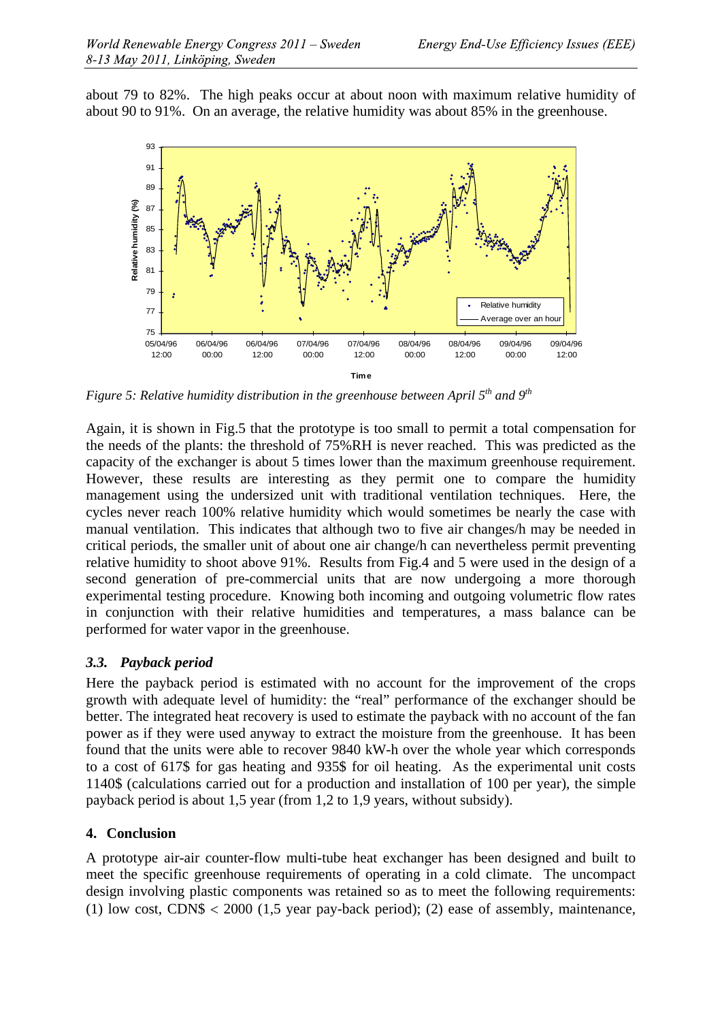about 79 to 82%. The high peaks occur at about noon with maximum relative humidity of about 90 to 91%. On an average, the relative humidity was about 85% in the greenhouse.



*Figure 5: Relative humidity distribution in the greenhouse between April 5th and 9th* 

Again, it is shown in Fig.5 that the prototype is too small to permit a total compensation for the needs of the plants: the threshold of 75%RH is never reached. This was predicted as the capacity of the exchanger is about 5 times lower than the maximum greenhouse requirement. However, these results are interesting as they permit one to compare the humidity management using the undersized unit with traditional ventilation techniques. Here, the cycles never reach 100% relative humidity which would sometimes be nearly the case with manual ventilation. This indicates that although two to five air changes/h may be needed in critical periods, the smaller unit of about one air change/h can nevertheless permit preventing relative humidity to shoot above 91%. Results from Fig.4 and 5 were used in the design of a second generation of pre-commercial units that are now undergoing a more thorough experimental testing procedure. Knowing both incoming and outgoing volumetric flow rates in conjunction with their relative humidities and temperatures, a mass balance can be performed for water vapor in the greenhouse.

## *3.3. Payback period*

Here the payback period is estimated with no account for the improvement of the crops growth with adequate level of humidity: the "real" performance of the exchanger should be better. The integrated heat recovery is used to estimate the payback with no account of the fan power as if they were used anyway to extract the moisture from the greenhouse. It has been found that the units were able to recover 9840 kW-h over the whole year which corresponds to a cost of 617\$ for gas heating and 935\$ for oil heating. As the experimental unit costs 1140\$ (calculations carried out for a production and installation of 100 per year), the simple payback period is about 1,5 year (from 1,2 to 1,9 years, without subsidy).

## **4. Conclusion**

A prototype air-air counter-flow multi-tube heat exchanger has been designed and built to meet the specific greenhouse requirements of operating in a cold climate. The uncompact design involving plastic components was retained so as to meet the following requirements: (1) low cost, CDN\$  $< 2000$  (1,5 year pay-back period); (2) ease of assembly, maintenance,